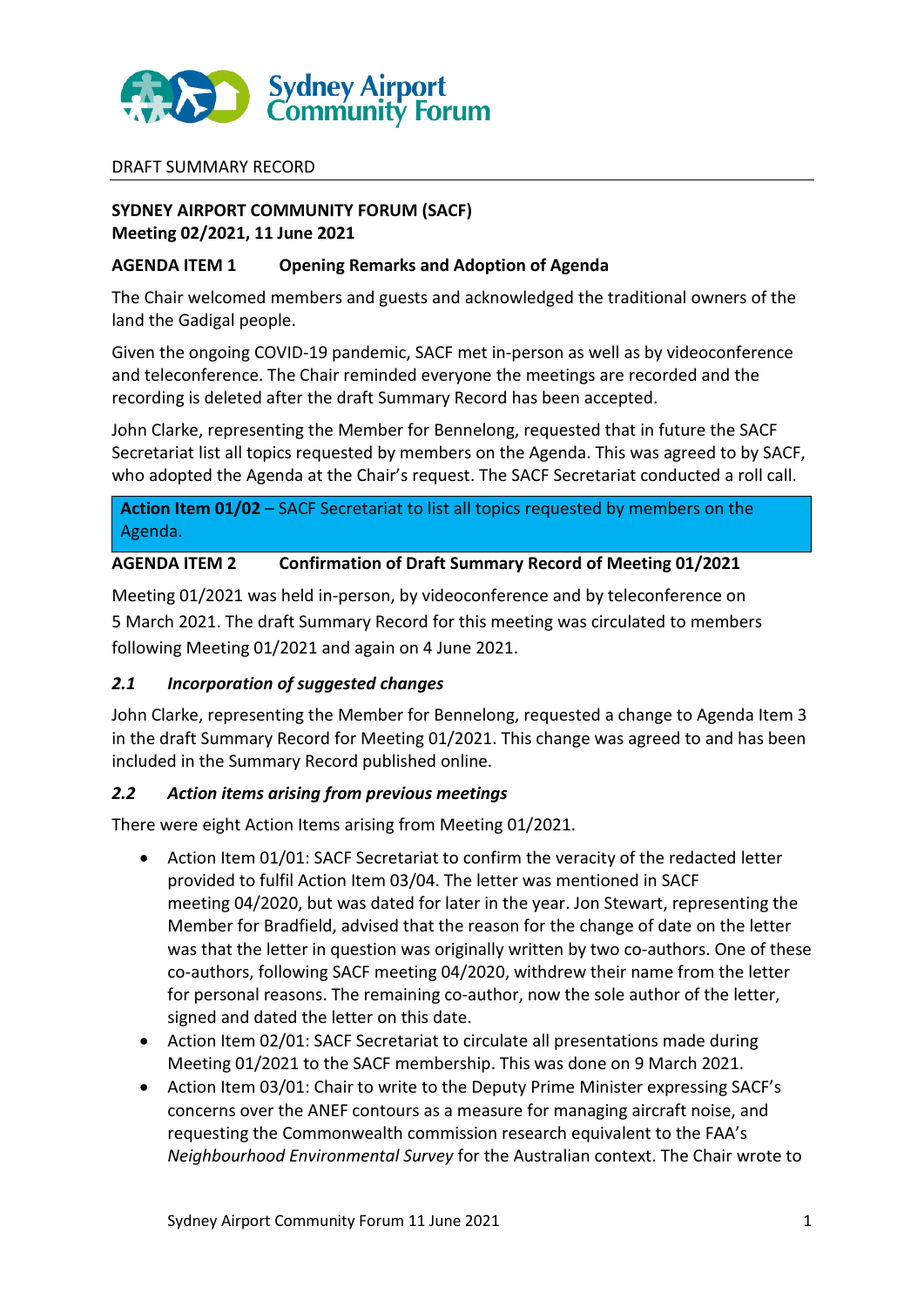

#### DRAFT SUMMARY RECORD

## **SYDNEY AIRPORT COMMUNITY FORUM (SACF) Meeting 02/2021, 11 June 2021**

#### **AGENDA ITEM 1 Opening Remarks and Adoption of Agenda**

The Chair welcomed members and guests and acknowledged the traditional owners of the land the Gadigal people.

Given the ongoing COVID-19 pandemic, SACF met in-person as well as by videoconference and teleconference. The Chair reminded everyone the meetings are recorded and the recording is deleted after the draft Summary Record has been accepted.

John Clarke, representing the Member for Bennelong, requested that in future the SACF Secretariat list all topics requested by members on the Agenda. This was agreed to by SACF, who adopted the Agenda at the Chair's request. The SACF Secretariat conducted a roll call.

**Action Item 01/02** – SACF Secretariat to list all topics requested by members on the Agenda.

### **AGENDA ITEM 2 Confirmation of Draft Summary Record of Meeting 01/2021**

Meeting 01/2021 was held in-person, by videoconference and by teleconference on 5 March 2021. The draft Summary Record for this meeting was circulated to members following Meeting 01/2021 and again on 4 June 2021.

### *2.1 Incorporation of suggested changes*

John Clarke, representing the Member for Bennelong, requested a change to Agenda Item 3 in the draft Summary Record for Meeting 01/2021. This change was agreed to and has been included in the Summary Record published online.

### *2.2 Action items arising from previous meetings*

There were eight Action Items arising from Meeting 01/2021.

- Action Item 01/01: SACF Secretariat to confirm the veracity of the redacted letter provided to fulfil Action Item 03/04. The letter was mentioned in SACF meeting 04/2020, but was dated for later in the year. Jon Stewart, representing the Member for Bradfield, advised that the reason for the change of date on the letter was that the letter in question was originally written by two co-authors. One of these co-authors, following SACF meeting 04/2020, withdrew their name from the letter for personal reasons. The remaining co-author, now the sole author of the letter, signed and dated the letter on this date.
- Action Item 02/01: SACF Secretariat to circulate all presentations made during Meeting 01/2021 to the SACF membership. This was done on 9 March 2021.
- Action Item 03/01: Chair to write to the Deputy Prime Minister expressing SACF's concerns over the ANEF contours as a measure for managing aircraft noise, and requesting the Commonwealth commission research equivalent to the FAA's *Neighbourhood Environmental Survey* for the Australian context. The Chair wrote to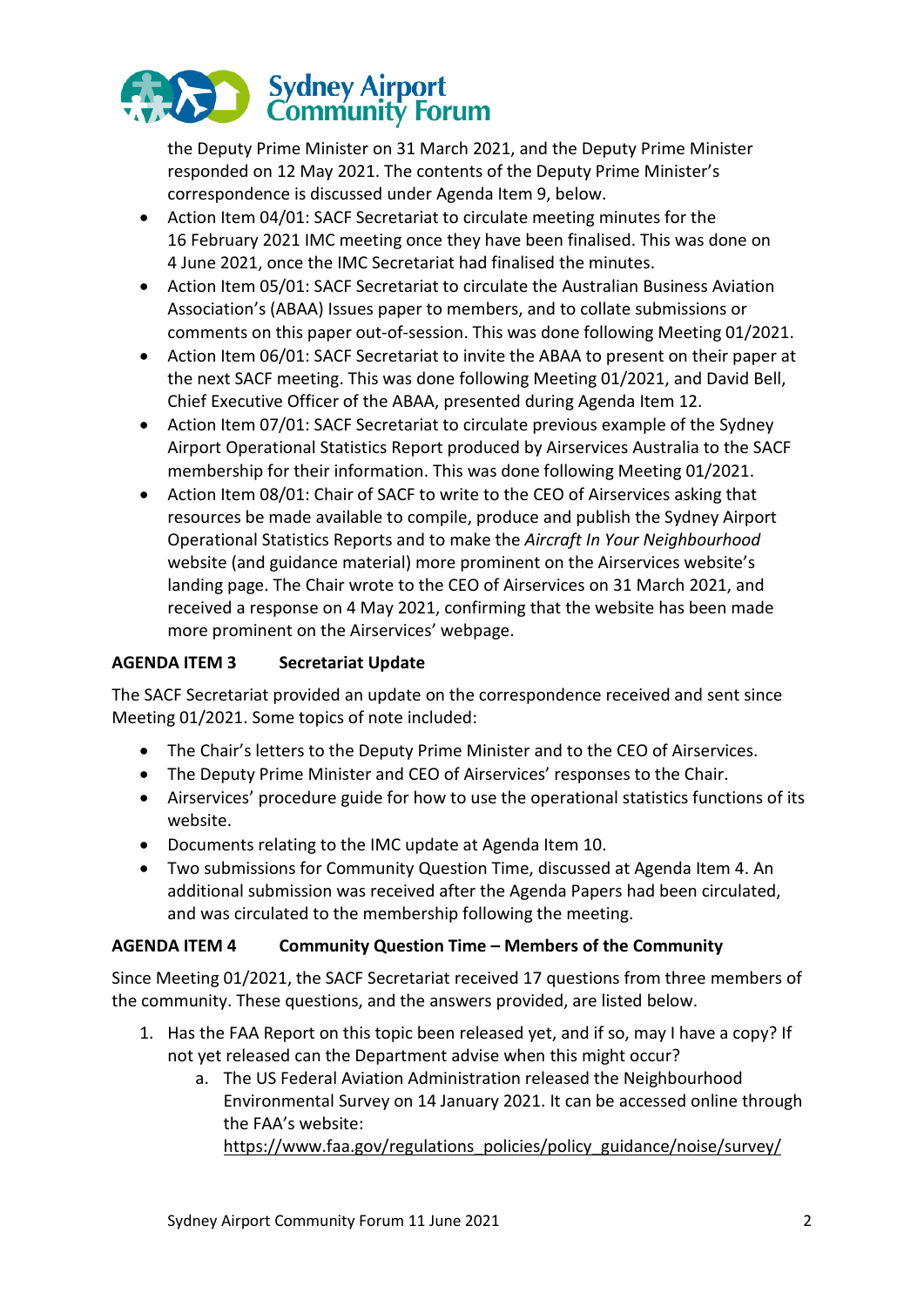

the Deputy Prime Minister on 31 March 2021, and the Deputy Prime Minister responded on 12 May 2021. The contents of the Deputy Prime Minister's correspondence is discussed under Agenda Item 9, below.

- Action Item 04/01: SACF Secretariat to circulate meeting minutes for the 16 February 2021 IMC meeting once they have been finalised. This was done on 4 June 2021, once the IMC Secretariat had finalised the minutes.
- Action Item 05/01: SACF Secretariat to circulate the Australian Business Aviation Association's (ABAA) Issues paper to members, and to collate submissions or comments on this paper out-of-session. This was done following Meeting 01/2021.
- Action Item 06/01: SACF Secretariat to invite the ABAA to present on their paper at the next SACF meeting. This was done following Meeting 01/2021, and David Bell, Chief Executive Officer of the ABAA, presented during Agenda Item 12.
- Action Item 07/01: SACF Secretariat to circulate previous example of the Sydney Airport Operational Statistics Report produced by Airservices Australia to the SACF membership for their information. This was done following Meeting 01/2021.
- Action Item 08/01: Chair of SACF to write to the CEO of Airservices asking that resources be made available to compile, produce and publish the Sydney Airport Operational Statistics Reports and to make the *Aircraft In Your Neighbourhood* website (and guidance material) more prominent on the Airservices website's landing page. The Chair wrote to the CEO of Airservices on 31 March 2021, and received a response on 4 May 2021, confirming that the website has been made more prominent on the Airservices' webpage.

# **AGENDA ITEM 3 Secretariat Update**

The SACF Secretariat provided an update on the correspondence received and sent since Meeting 01/2021. Some topics of note included:

- The Chair's letters to the Deputy Prime Minister and to the CEO of Airservices.
- The Deputy Prime Minister and CEO of Airservices' responses to the Chair.
- Airservices' procedure guide for how to use the operational statistics functions of its website.
- Documents relating to the IMC update at Agenda Item 10.
- Two submissions for Community Question Time, discussed at Agenda Item 4. An additional submission was received after the Agenda Papers had been circulated, and was circulated to the membership following the meeting.

### **AGENDA ITEM 4 Community Question Time – Members of the Community**

Since Meeting 01/2021, the SACF Secretariat received 17 questions from three members of the community. These questions, and the answers provided, are listed below.

- 1. Has the FAA Report on this topic been released yet, and if so, may I have a copy? If not yet released can the Department advise when this might occur?
	- a. The US Federal Aviation Administration released the Neighbourhood Environmental Survey on 14 January 2021. It can be accessed online through the FAA's website:

https://www.faa.gov/regulations\_policies/policy\_guidance/noise/survey/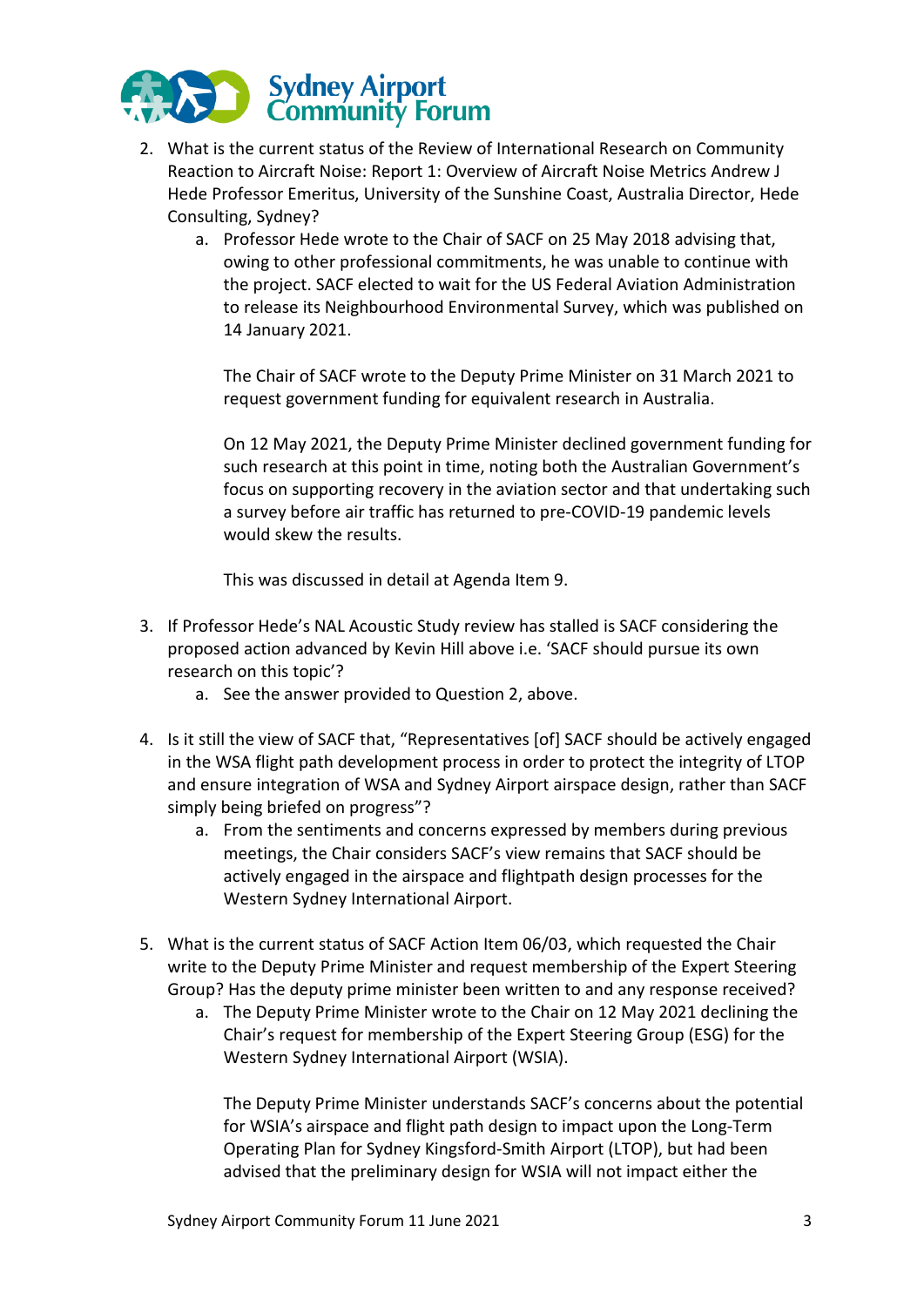

- 2. What is the current status of the Review of International Research on Community Reaction to Aircraft Noise: Report 1: Overview of Aircraft Noise Metrics Andrew J Hede Professor Emeritus, University of the Sunshine Coast, Australia Director, Hede Consulting, Sydney?
	- a. Professor Hede wrote to the Chair of SACF on 25 May 2018 advising that, owing to other professional commitments, he was unable to continue with the project. SACF elected to wait for the US Federal Aviation Administration to release its Neighbourhood Environmental Survey, which was published on 14 January 2021.

The Chair of SACF wrote to the Deputy Prime Minister on 31 March 2021 to request government funding for equivalent research in Australia.

On 12 May 2021, the Deputy Prime Minister declined government funding for such research at this point in time, noting both the Australian Government's focus on supporting recovery in the aviation sector and that undertaking such a survey before air traffic has returned to pre-COVID-19 pandemic levels would skew the results.

This was discussed in detail at Agenda Item 9.

- 3. If Professor Hede's NAL Acoustic Study review has stalled is SACF considering the proposed action advanced by Kevin Hill above i.e. 'SACF should pursue its own research on this topic'?
	- a. See the answer provided to Question 2, above.
- 4. Is it still the view of SACF that, "Representatives [of] SACF should be actively engaged in the WSA flight path development process in order to protect the integrity of LTOP and ensure integration of WSA and Sydney Airport airspace design, rather than SACF simply being briefed on progress"?
	- a. From the sentiments and concerns expressed by members during previous meetings, the Chair considers SACF's view remains that SACF should be actively engaged in the airspace and flightpath design processes for the Western Sydney International Airport.
- 5. What is the current status of SACF Action Item 06/03, which requested the Chair write to the Deputy Prime Minister and request membership of the Expert Steering Group? Has the deputy prime minister been written to and any response received?
	- a. The Deputy Prime Minister wrote to the Chair on 12 May 2021 declining the Chair's request for membership of the Expert Steering Group (ESG) for the Western Sydney International Airport (WSIA).

The Deputy Prime Minister understands SACF's concerns about the potential for WSIA's airspace and flight path design to impact upon the Long-Term Operating Plan for Sydney Kingsford-Smith Airport (LTOP), but had been advised that the preliminary design for WSIA will not impact either the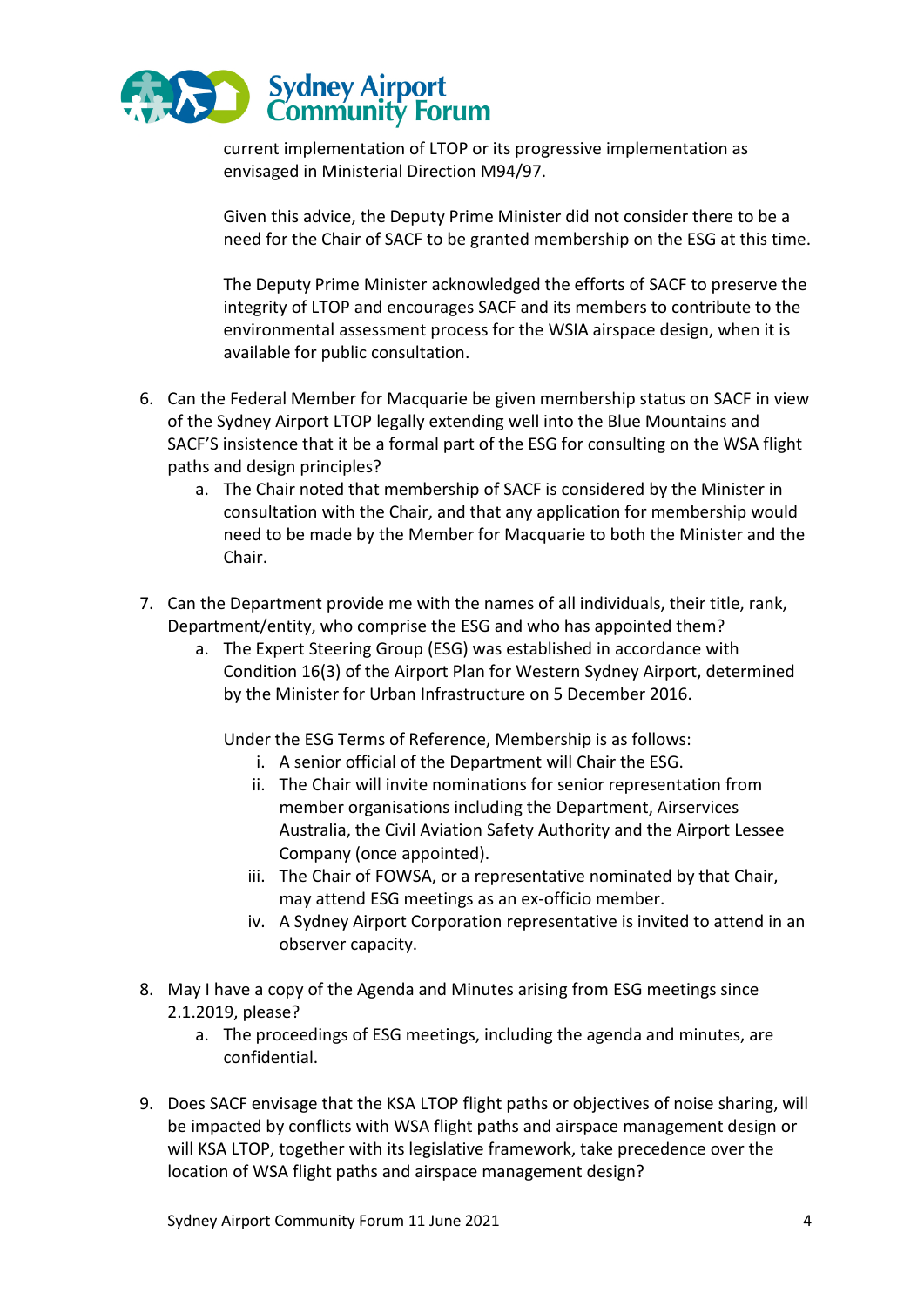

current implementation of LTOP or its progressive implementation as envisaged in Ministerial Direction M94/97.

Given this advice, the Deputy Prime Minister did not consider there to be a need for the Chair of SACF to be granted membership on the ESG at this time.

The Deputy Prime Minister acknowledged the efforts of SACF to preserve the integrity of LTOP and encourages SACF and its members to contribute to the environmental assessment process for the WSIA airspace design, when it is available for public consultation.

- 6. Can the Federal Member for Macquarie be given membership status on SACF in view of the Sydney Airport LTOP legally extending well into the Blue Mountains and SACF'S insistence that it be a formal part of the ESG for consulting on the WSA flight paths and design principles?
	- a. The Chair noted that membership of SACF is considered by the Minister in consultation with the Chair, and that any application for membership would need to be made by the Member for Macquarie to both the Minister and the Chair.
- 7. Can the Department provide me with the names of all individuals, their title, rank, Department/entity, who comprise the ESG and who has appointed them?
	- a. The Expert Steering Group (ESG) was established in accordance with Condition 16(3) of the Airport Plan for Western Sydney Airport, determined by the Minister for Urban Infrastructure on 5 December 2016.

Under the ESG Terms of Reference, Membership is as follows:

- i. A senior official of the Department will Chair the ESG.
- ii. The Chair will invite nominations for senior representation from member organisations including the Department, Airservices Australia, the Civil Aviation Safety Authority and the Airport Lessee Company (once appointed).
- iii. The Chair of FOWSA, or a representative nominated by that Chair, may attend ESG meetings as an ex-officio member.
- iv. A Sydney Airport Corporation representative is invited to attend in an observer capacity.
- 8. May I have a copy of the Agenda and Minutes arising from ESG meetings since 2.1.2019, please?
	- a. The proceedings of ESG meetings, including the agenda and minutes, are confidential.
- 9. Does SACF envisage that the KSA LTOP flight paths or objectives of noise sharing, will be impacted by conflicts with WSA flight paths and airspace management design or will KSA LTOP, together with its legislative framework, take precedence over the location of WSA flight paths and airspace management design?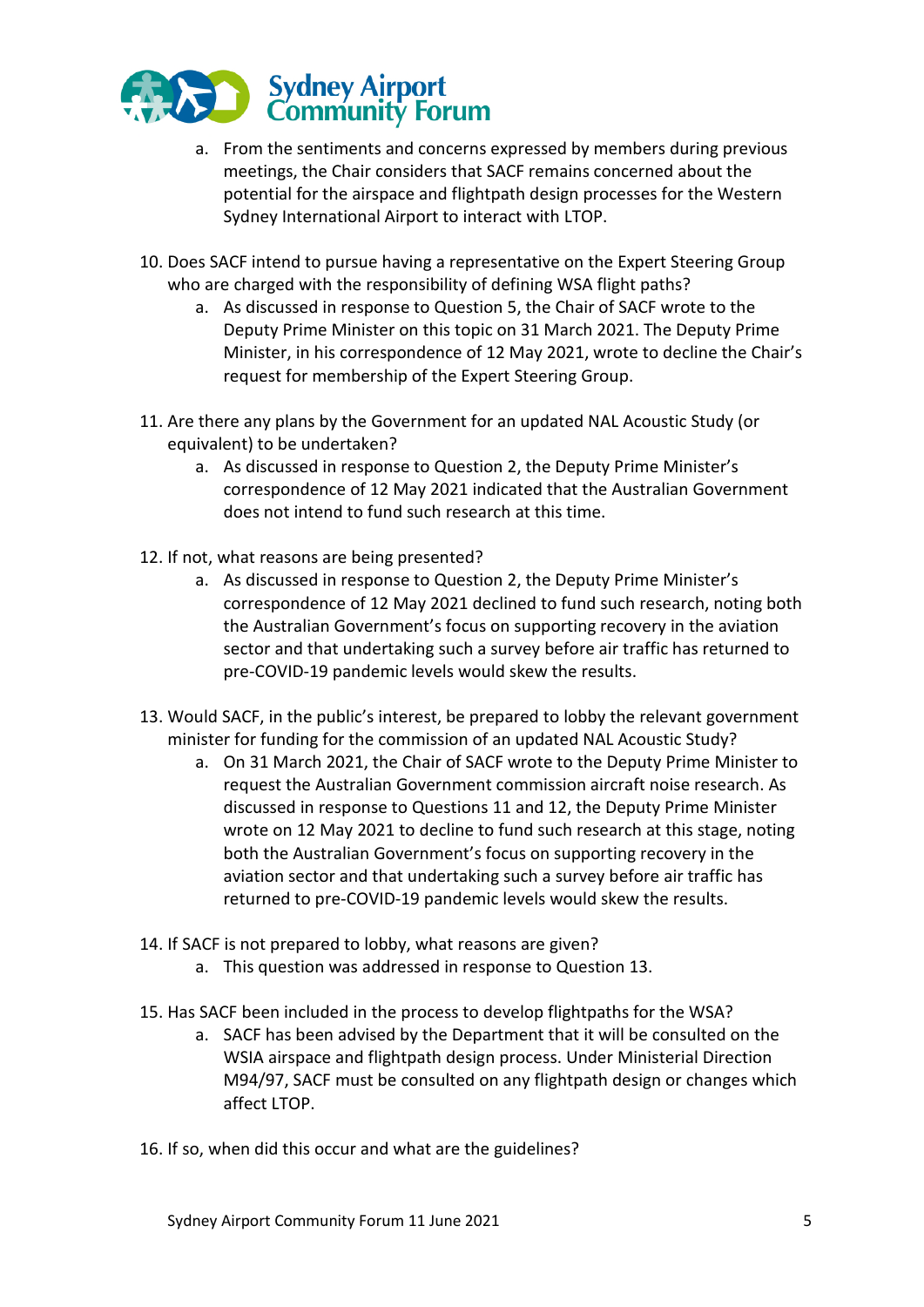

- a. From the sentiments and concerns expressed by members during previous meetings, the Chair considers that SACF remains concerned about the potential for the airspace and flightpath design processes for the Western Sydney International Airport to interact with LTOP.
- 10. Does SACF intend to pursue having a representative on the Expert Steering Group who are charged with the responsibility of defining WSA flight paths?
	- a. As discussed in response to Question 5, the Chair of SACF wrote to the Deputy Prime Minister on this topic on 31 March 2021. The Deputy Prime Minister, in his correspondence of 12 May 2021, wrote to decline the Chair's request for membership of the Expert Steering Group.
- 11. Are there any plans by the Government for an updated NAL Acoustic Study (or equivalent) to be undertaken?
	- a. As discussed in response to Question 2, the Deputy Prime Minister's correspondence of 12 May 2021 indicated that the Australian Government does not intend to fund such research at this time.
- 12. If not, what reasons are being presented?
	- a. As discussed in response to Question 2, the Deputy Prime Minister's correspondence of 12 May 2021 declined to fund such research, noting both the Australian Government's focus on supporting recovery in the aviation sector and that undertaking such a survey before air traffic has returned to pre-COVID-19 pandemic levels would skew the results.
- 13. Would SACF, in the public's interest, be prepared to lobby the relevant government minister for funding for the commission of an updated NAL Acoustic Study?
	- a. On 31 March 2021, the Chair of SACF wrote to the Deputy Prime Minister to request the Australian Government commission aircraft noise research. As discussed in response to Questions 11 and 12, the Deputy Prime Minister wrote on 12 May 2021 to decline to fund such research at this stage, noting both the Australian Government's focus on supporting recovery in the aviation sector and that undertaking such a survey before air traffic has returned to pre-COVID-19 pandemic levels would skew the results.
- 14. If SACF is not prepared to lobby, what reasons are given?
	- a. This question was addressed in response to Question 13.
- 15. Has SACF been included in the process to develop flightpaths for the WSA?
	- a. SACF has been advised by the Department that it will be consulted on the WSIA airspace and flightpath design process. Under Ministerial Direction M94/97, SACF must be consulted on any flightpath design or changes which affect LTOP.
- 16. If so, when did this occur and what are the guidelines?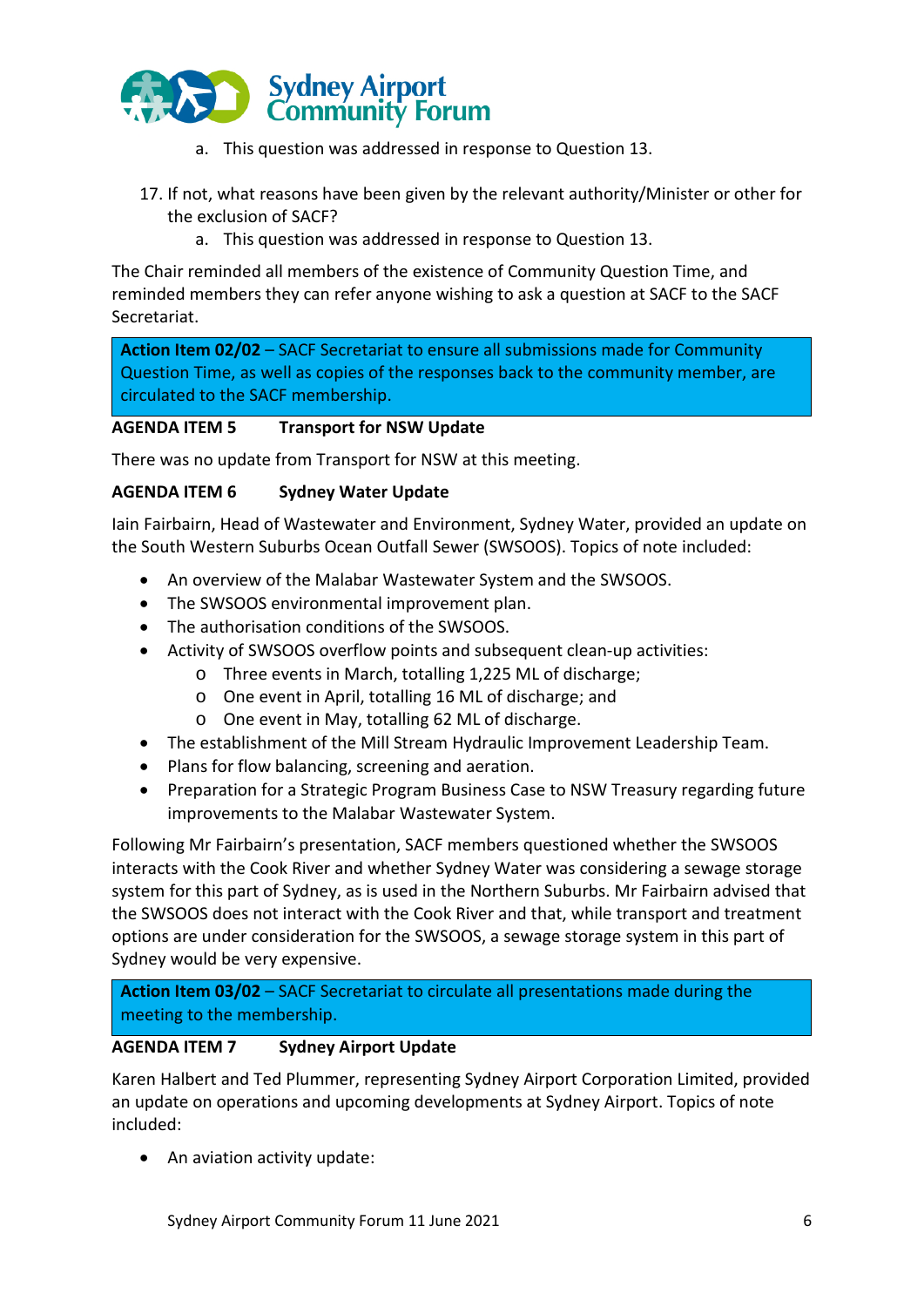

- a. This question was addressed in response to Question 13.
- 17. If not, what reasons have been given by the relevant authority/Minister or other for the exclusion of SACF?
	- a. This question was addressed in response to Question 13.

The Chair reminded all members of the existence of Community Question Time, and reminded members they can refer anyone wishing to ask a question at SACF to the SACF Secretariat.

**Action Item 02/02** – SACF Secretariat to ensure all submissions made for Community Question Time, as well as copies of the responses back to the community member, are circulated to the SACF membership.

### **AGENDA ITEM 5 Transport for NSW Update**

There was no update from Transport for NSW at this meeting.

#### **AGENDA ITEM 6 Sydney Water Update**

Iain Fairbairn, Head of Wastewater and Environment, Sydney Water, provided an update on the South Western Suburbs Ocean Outfall Sewer (SWSOOS). Topics of note included:

- An overview of the Malabar Wastewater System and the SWSOOS.
- The SWSOOS environmental improvement plan.
- The authorisation conditions of the SWSOOS.
- Activity of SWSOOS overflow points and subsequent clean-up activities:
	- o Three events in March, totalling 1,225 ML of discharge;
	- o One event in April, totalling 16 ML of discharge; and
	- o One event in May, totalling 62 ML of discharge.
- The establishment of the Mill Stream Hydraulic Improvement Leadership Team.
- Plans for flow balancing, screening and aeration.
- Preparation for a Strategic Program Business Case to NSW Treasury regarding future improvements to the Malabar Wastewater System.

Following Mr Fairbairn's presentation, SACF members questioned whether the SWSOOS interacts with the Cook River and whether Sydney Water was considering a sewage storage system for this part of Sydney, as is used in the Northern Suburbs. Mr Fairbairn advised that the SWSOOS does not interact with the Cook River and that, while transport and treatment options are under consideration for the SWSOOS, a sewage storage system in this part of Sydney would be very expensive.

**Action Item 03/02** – SACF Secretariat to circulate all presentations made during the meeting to the membership.

#### **AGENDA ITEM 7 Sydney Airport Update**

Karen Halbert and Ted Plummer, representing Sydney Airport Corporation Limited, provided an update on operations and upcoming developments at Sydney Airport. Topics of note included:

• An aviation activity update: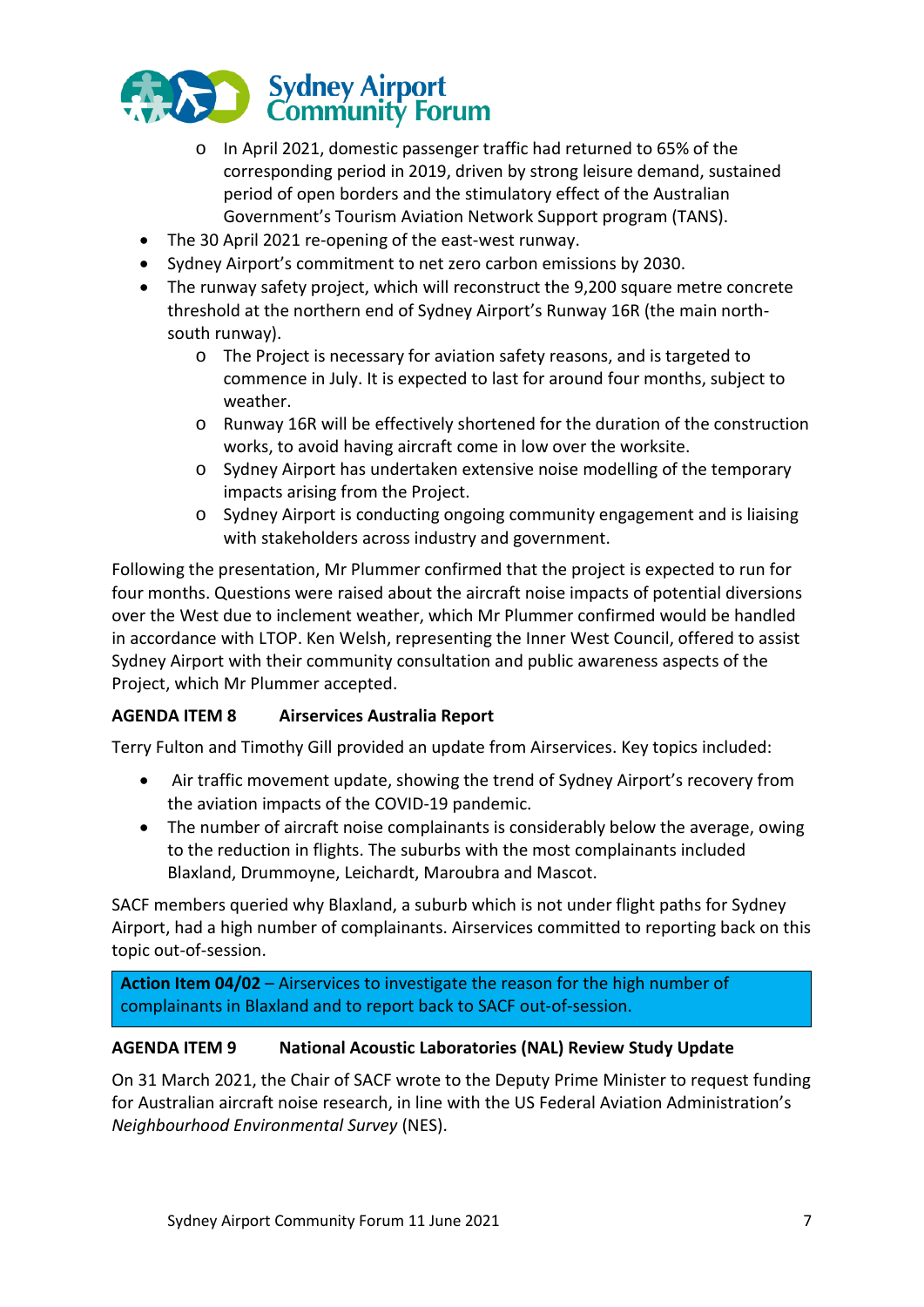

- o In April 2021, domestic passenger traffic had returned to 65% of the corresponding period in 2019, driven by strong leisure demand, sustained period of open borders and the stimulatory effect of the Australian Government's Tourism Aviation Network Support program (TANS).
- The 30 April 2021 re-opening of the east-west runway.
- Sydney Airport's commitment to net zero carbon emissions by 2030.
- The runway safety project, which will reconstruct the 9,200 square metre concrete threshold at the northern end of Sydney Airport's Runway 16R (the main northsouth runway).
	- o The Project is necessary for aviation safety reasons, and is targeted to commence in July. It is expected to last for around four months, subject to weather.
	- o Runway 16R will be effectively shortened for the duration of the construction works, to avoid having aircraft come in low over the worksite.
	- o Sydney Airport has undertaken extensive noise modelling of the temporary impacts arising from the Project.
	- o Sydney Airport is conducting ongoing community engagement and is liaising with stakeholders across industry and government.

Following the presentation, Mr Plummer confirmed that the project is expected to run for four months. Questions were raised about the aircraft noise impacts of potential diversions over the West due to inclement weather, which Mr Plummer confirmed would be handled in accordance with LTOP. Ken Welsh, representing the Inner West Council, offered to assist Sydney Airport with their community consultation and public awareness aspects of the Project, which Mr Plummer accepted.

### **AGENDA ITEM 8 Airservices Australia Report**

Terry Fulton and Timothy Gill provided an update from Airservices. Key topics included:

- Air traffic movement update, showing the trend of Sydney Airport's recovery from the aviation impacts of the COVID-19 pandemic.
- The number of aircraft noise complainants is considerably below the average, owing to the reduction in flights. The suburbs with the most complainants included Blaxland, Drummoyne, Leichardt, Maroubra and Mascot.

SACF members queried why Blaxland, a suburb which is not under flight paths for Sydney Airport, had a high number of complainants. Airservices committed to reporting back on this topic out-of-session.

**Action Item 04/02** – Airservices to investigate the reason for the high number of complainants in Blaxland and to report back to SACF out-of-session.

### **AGENDA ITEM 9 National Acoustic Laboratories (NAL) Review Study Update**

On 31 March 2021, the Chair of SACF wrote to the Deputy Prime Minister to request funding for Australian aircraft noise research, in line with the US Federal Aviation Administration's *Neighbourhood Environmental Survey* (NES).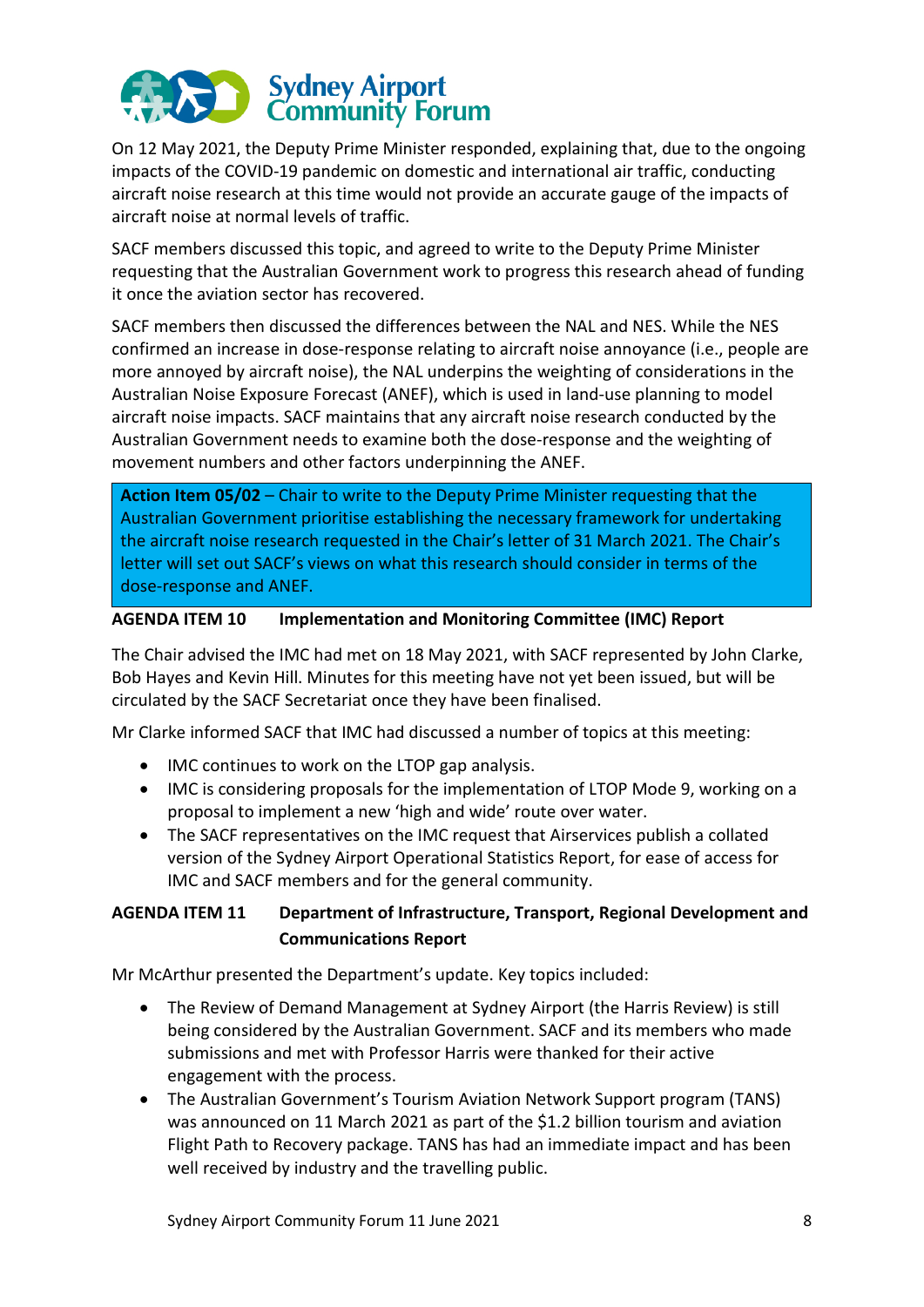

On 12 May 2021, the Deputy Prime Minister responded, explaining that, due to the ongoing impacts of the COVID-19 pandemic on domestic and international air traffic, conducting aircraft noise research at this time would not provide an accurate gauge of the impacts of aircraft noise at normal levels of traffic.

SACF members discussed this topic, and agreed to write to the Deputy Prime Minister requesting that the Australian Government work to progress this research ahead of funding it once the aviation sector has recovered.

SACF members then discussed the differences between the NAL and NES. While the NES confirmed an increase in dose-response relating to aircraft noise annoyance (i.e., people are more annoyed by aircraft noise), the NAL underpins the weighting of considerations in the Australian Noise Exposure Forecast (ANEF), which is used in land-use planning to model aircraft noise impacts. SACF maintains that any aircraft noise research conducted by the Australian Government needs to examine both the dose-response and the weighting of movement numbers and other factors underpinning the ANEF.

**Action Item 05/02** – Chair to write to the Deputy Prime Minister requesting that the Australian Government prioritise establishing the necessary framework for undertaking the aircraft noise research requested in the Chair's letter of 31 March 2021. The Chair's letter will set out SACF's views on what this research should consider in terms of the dose-response and ANEF.

#### **AGENDA ITEM 10 Implementation and Monitoring Committee (IMC) Report**

The Chair advised the IMC had met on 18 May 2021, with SACF represented by John Clarke, Bob Hayes and Kevin Hill. Minutes for this meeting have not yet been issued, but will be circulated by the SACF Secretariat once they have been finalised.

Mr Clarke informed SACF that IMC had discussed a number of topics at this meeting:

- IMC continues to work on the LTOP gap analysis.
- IMC is considering proposals for the implementation of LTOP Mode 9, working on a proposal to implement a new 'high and wide' route over water.
- The SACF representatives on the IMC request that Airservices publish a collated version of the Sydney Airport Operational Statistics Report, for ease of access for IMC and SACF members and for the general community.

# **AGENDA ITEM 11 Department of Infrastructure, Transport, Regional Development and Communications Report**

Mr McArthur presented the Department's update. Key topics included:

- The Review of Demand Management at Sydney Airport (the Harris Review) is still being considered by the Australian Government. SACF and its members who made submissions and met with Professor Harris were thanked for their active engagement with the process.
- The Australian Government's Tourism Aviation Network Support program (TANS) was announced on 11 March 2021 as part of the \$1.2 billion tourism and aviation Flight Path to Recovery package. TANS has had an immediate impact and has been well received by industry and the travelling public.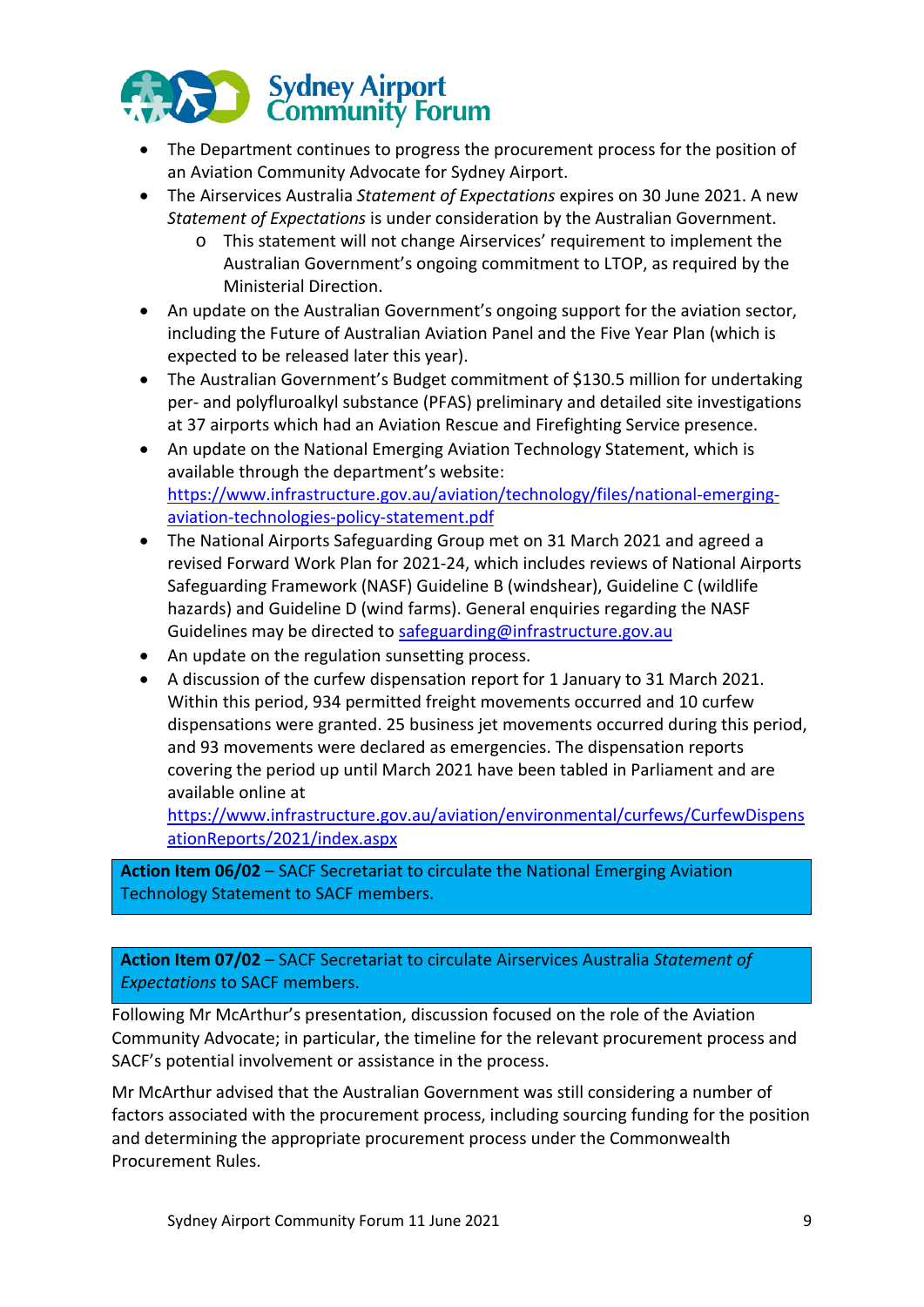

- The Department continues to progress the procurement process for the position of an Aviation Community Advocate for Sydney Airport.
- The Airservices Australia *Statement of Expectations* expires on 30 June 2021. A new *Statement of Expectations* is under consideration by the Australian Government.
	- o This statement will not change Airservices' requirement to implement the Australian Government's ongoing commitment to LTOP, as required by the Ministerial Direction.
- An update on the Australian Government's ongoing support for the aviation sector, including the Future of Australian Aviation Panel and the Five Year Plan (which is expected to be released later this year).
- The Australian Government's Budget commitment of \$130.5 million for undertaking per- and polyfluroalkyl substance (PFAS) preliminary and detailed site investigations at 37 airports which had an Aviation Rescue and Firefighting Service presence.
- An update on the National Emerging Aviation Technology Statement, which is available through the department's website: https://www.infrastructure.gov.au/aviation/technology/files/national-emergingaviation-technologies-policy-statement.pdf
- The National Airports Safeguarding Group met on 31 March 2021 and agreed a revised Forward Work Plan for 2021-24, which includes reviews of National Airports Safeguarding Framework (NASF) Guideline B (windshear), Guideline C (wildlife hazards) and Guideline D (wind farms). General enquiries regarding the NASF Guidelines may be directed to safeguarding@infrastructure.gov.au
- An update on the regulation sunsetting process.
- A discussion of the curfew dispensation report for 1 January to 31 March 2021. Within this period, 934 permitted freight movements occurred and 10 curfew dispensations were granted. 25 business jet movements occurred during this period, and 93 movements were declared as emergencies. The dispensation reports covering the period up until March 2021 have been tabled in Parliament and are available online at

https://www.infrastructure.gov.au/aviation/environmental/curfews/CurfewDispens ationReports/2021/index.aspx

**Action Item 06/02** – SACF Secretariat to circulate the National Emerging Aviation Technology Statement to SACF members.

**Action Item 07/02** – SACF Secretariat to circulate Airservices Australia *Statement of Expectations* to SACF members.

Following Mr McArthur's presentation, discussion focused on the role of the Aviation Community Advocate; in particular, the timeline for the relevant procurement process and SACF's potential involvement or assistance in the process.

Mr McArthur advised that the Australian Government was still considering a number of factors associated with the procurement process, including sourcing funding for the position and determining the appropriate procurement process under the Commonwealth Procurement Rules.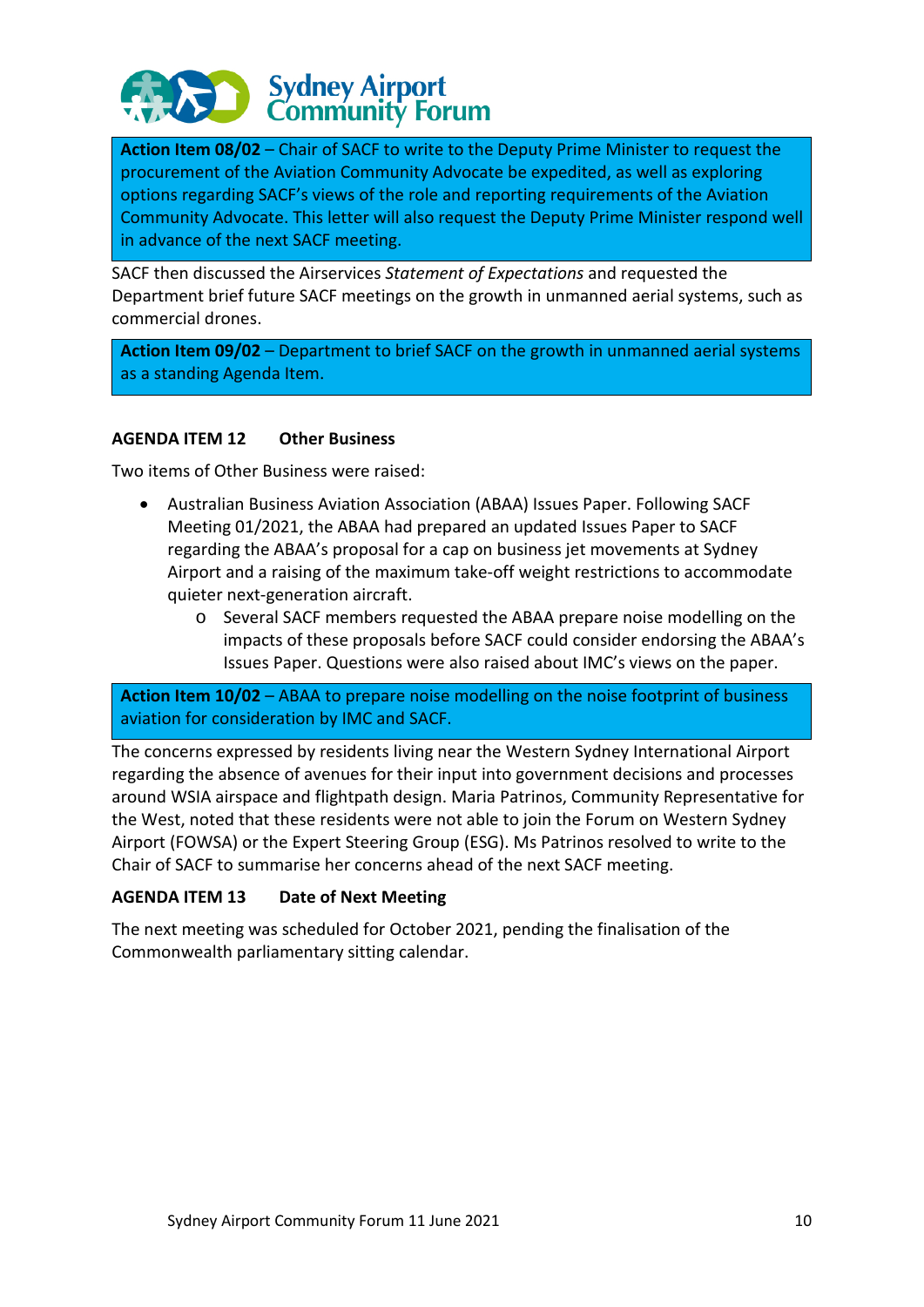

**Action Item 08/02** – Chair of SACF to write to the Deputy Prime Minister to request the procurement of the Aviation Community Advocate be expedited, as well as exploring options regarding SACF's views of the role and reporting requirements of the Aviation Community Advocate. This letter will also request the Deputy Prime Minister respond well in advance of the next SACF meeting.

SACF then discussed the Airservices *Statement of Expectations* and requested the Department brief future SACF meetings on the growth in unmanned aerial systems, such as commercial drones.

**Action Item 09/02** – Department to brief SACF on the growth in unmanned aerial systems as a standing Agenda Item.

#### **AGENDA ITEM 12 Other Business**

Two items of Other Business were raised:

- Australian Business Aviation Association (ABAA) Issues Paper. Following SACF Meeting 01/2021, the ABAA had prepared an updated Issues Paper to SACF regarding the ABAA's proposal for a cap on business jet movements at Sydney Airport and a raising of the maximum take-off weight restrictions to accommodate quieter next-generation aircraft.
	- o Several SACF members requested the ABAA prepare noise modelling on the impacts of these proposals before SACF could consider endorsing the ABAA's Issues Paper. Questions were also raised about IMC's views on the paper.

**Action Item 10/02** – ABAA to prepare noise modelling on the noise footprint of business aviation for consideration by IMC and SACF.

The concerns expressed by residents living near the Western Sydney International Airport regarding the absence of avenues for their input into government decisions and processes around WSIA airspace and flightpath design. Maria Patrinos, Community Representative for the West, noted that these residents were not able to join the Forum on Western Sydney Airport (FOWSA) or the Expert Steering Group (ESG). Ms Patrinos resolved to write to the Chair of SACF to summarise her concerns ahead of the next SACF meeting.

#### **AGENDA ITEM 13 Date of Next Meeting**

The next meeting was scheduled for October 2021, pending the finalisation of the Commonwealth parliamentary sitting calendar.